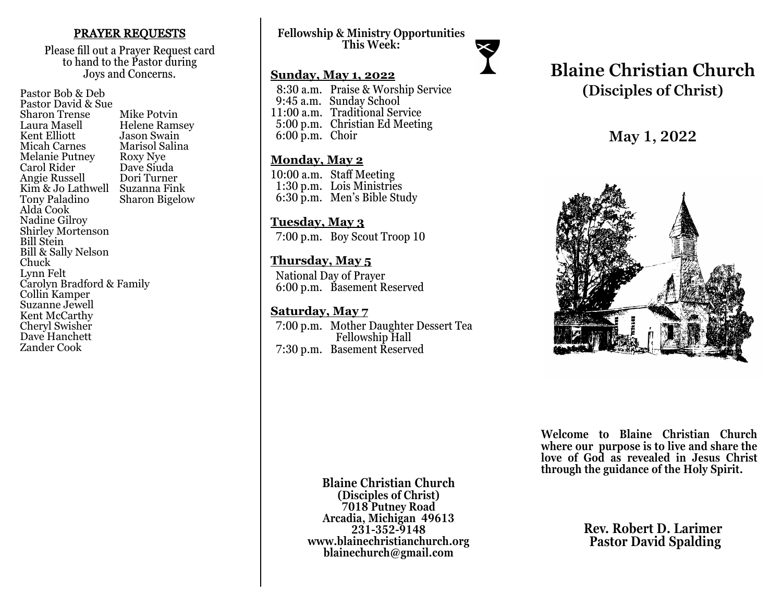### PRAYER REQUESTS

Please fill out a Prayer Request card to hand to the Pastor during Joys and Concerns.

Pastor Bob & Deb Pastor David & Sue Sharon Trense Mike Potvin<br>Laura Masell Helene Ram Laura Masell Helene Ramsey Jason Swain<br>Marisol Salina Micah Carnes Marisol Sa<br>Melanie Putney Roxy Nye Melanie Putney Roxy Nye<br>Carol Rider Dave Siuda Carol Rider Dave Siuda<br>
Angie Russell Dori Turner Angie Russell Kim & Jo Lathwell Suzanna Fink<br>Tony Paladino Sharon Bigelo **Sharon Bigelow** Alda Cook Nadine Gilroy Shirley Mortenson Bill Stein Bill & Sally Nelson Chuck Lynn Felt Carolyn Bradford & Family Collin Kamper Suzanne Jewell Kent McCarthy Cheryl Swisher Dave Hanchett Zander Cook

**Fellowship & Ministry Opportunities This Week:**

### **Sunday, May 1, 2022**

 8:30 a.m. Praise & Worship Service 9:45 a.m. Sunday School 11:00 a.m. Traditional Service 5:00 p.m. Christian Ed Meeting 6:00 p.m. Choir

### **Monday, May 2**

10:00 a.m. Staff Meeting 1:30 p.m. Lois Ministries 6:30 p.m. Men's Bible Study

### **Tuesday, May 3**

7:00 p.m. Boy Scout Troop 10

### **Thursday, May 5**

 National Day of Prayer 6:00 p.m. Basement Reserved

### **Saturday, May 7**

 7:00 p.m. Mother Daughter Dessert Tea Fellowship Hall 7:30 p.m. Basement Reserved

# **Blaine Christian Church (Disciples of Christ)**

## **May 1, 2022**



**Welcome to Blaine Christian Church where our purpose is to live and share the love of God as revealed in Jesus Christ through the guidance of the Holy Spirit.**

**Blaine Christian Church (Disciples of Christ) 7018 Putney Road Arcadia, Michigan 49613 231-352-9148 www.blainechristianchurch.org blainechurch@gmail.com**

**Rev. Robert D. Larimer Pastor David Spalding**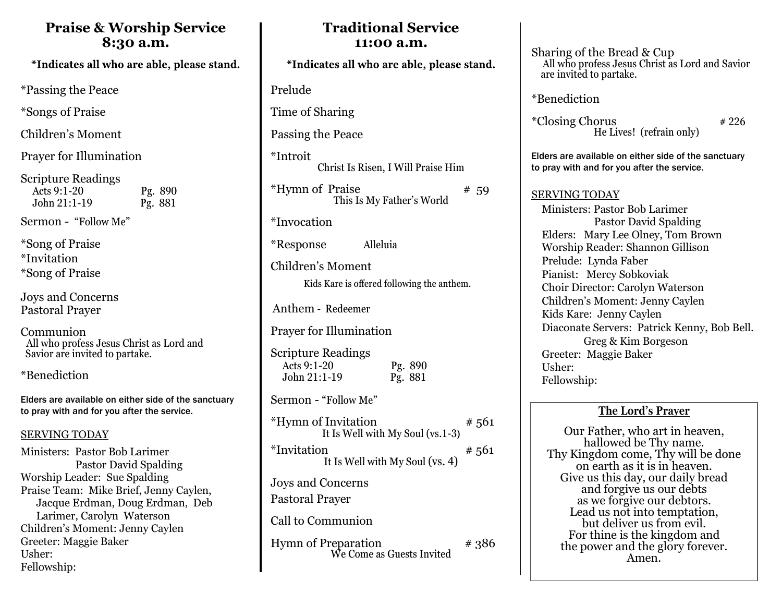### **Praise & Worship Service 8:30 a.m.**

\*Indicates all who are able, please stand.

\*Passing the Peace

\*Songs of Praise

Children's Moment

Prayer for Illumination

Scripture Readings Acts 9:1-20 Pg. 890 John 21:1-19 Pg. 881

Sermon - "Follow Me"

\*Song of Praise \*Invitation \*Song of Praise

Joys and Concerns Pastoral Prayer

Communion All who profess Jesus Christ as Lord and Savior are invited to partake.

\*Benediction

Elders are available on either side of the sanctuary to pray with and for you after the service.

### SERVING TODAY

Ministers: Pastor Bob Larimer Pastor David Spalding Worship Leader: Sue Spalding Praise Team: Mike Brief, Jenny Caylen, Jacque Erdman, Doug Erdman, Deb Larimer, Carolyn Waterson Children's Moment: Jenny Caylen Greeter: Maggie Baker Usher: Fellowship:

| 11:00 a.m.                                                                     |
|--------------------------------------------------------------------------------|
| *Indicates all who are able, please stand.                                     |
| Prelude                                                                        |
| Time of Sharing                                                                |
| Passing the Peace                                                              |
| *Introit<br>Christ Is Risen, I Will Praise Him                                 |
| *Hymn of Praise<br># 59<br>This Is My Father's World                           |
| *Invocation                                                                    |
| Alleluia<br>*Response                                                          |
| Children's Moment<br>Kids Kare is offered following the anthem.                |
| Anthem - Redeemer                                                              |
| Prayer for Illumination                                                        |
| <b>Scripture Readings</b><br>Acts 9:1-20<br>Pg. 890<br>John 21:1-19<br>Pg. 881 |
| Sermon - "Follow Me"                                                           |
| *Hymn of Invitation<br>#561<br>It Is Well with My Soul (vs.1-3)                |
| *Invitation<br>#561<br>It Is Well with My Soul (vs. 4)                         |
| Joys and Concerns<br><b>Pastoral Prayer</b>                                    |
| Call to Communion                                                              |
| <b>Hymn of Preparation</b><br># 386<br>We Come as Guests Invited               |

**Traditional Service**

Sharing of the Bread & Cup All who profess Jesus Christ as Lord and Savior are invited to partake.

\*Benediction

 $*Closing Chorus$   $*226$ He Lives! (refrain only)

Elders are available on either side of the sanctuary to pray with and for you after the service.

SERVING TODAY

 Ministers: Pastor Bob Larimer Pastor David Spalding Elders: Mary Lee Olney, Tom Brown Worship Reader: Shannon Gillison Prelude: Lynda Faber Pianist: Mercy Sobkoviak Choir Director: Carolyn Waterson Children's Moment: Jenny Caylen Kids Kare: Jenny Caylen Diaconate Servers: Patrick Kenny, Bob Bell. Greg & Kim Borgeson Greeter: Maggie Baker Usher: Fellowship:

### **The Lord's Prayer**

Our Father, who art in heaven, hallowed be Thy name. Thy Kingdom come, Thy will be done on earth as it is in heaven. Give us this day, our daily bread and forgive us our debts as we forgive our debtors. Lead us not into temptation, but deliver us from evil. For thine is the kingdom and the power and the glory forever. Amen.